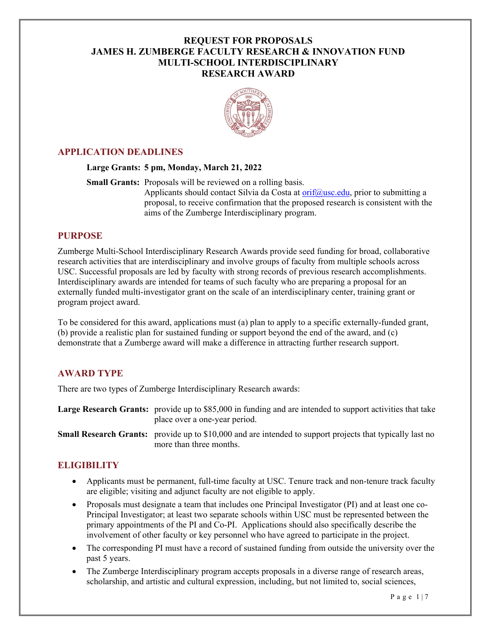# **REQUEST FOR PROPOSALS JAMES H. ZUMBERGE FACULTY RESEARCH & INNOVATION FUND MULTI-SCHOOL INTERDISCIPLINARY RESEARCH AWARD**



# **APPLICATION DEADLINES**

#### **Large Grants: 5 pm, Monday, March 21, 2022**

**Small Grants:** Proposals will be reviewed on a rolling basis.

Applicants should contact Silvia da Costa at  $\text{orif}(\partial_t \text{usc.edu}, \text{prior to submitting a})$ proposal, to receive confirmation that the proposed research is consistent with the aims of the Zumberge Interdisciplinary program.

### **PURPOSE**

Zumberge Multi-School Interdisciplinary Research Awards provide seed funding for broad, collaborative research activities that are interdisciplinary and involve groups of faculty from multiple schools across USC. Successful proposals are led by faculty with strong records of previous research accomplishments. Interdisciplinary awards are intended for teams of such faculty who are preparing a proposal for an externally funded multi-investigator grant on the scale of an interdisciplinary center, training grant or program project award.

To be considered for this award, applications must (a) plan to apply to a specific externally-funded grant, (b) provide a realistic plan for sustained funding or support beyond the end of the award, and (c) demonstrate that a Zumberge award will make a difference in attracting further research support.

## **AWARD TYPE**

There are two types of Zumberge Interdisciplinary Research awards:

**Large Research Grants:** provide up to \$85,000 in funding and are intended to support activities that take place over a one-year period.

**Small Research Grants:** provide up to \$10,000 and are intended to support projects that typically last no more than three months.

# **ELIGIBILITY**

- Applicants must be permanent, full-time faculty at USC. Tenure track and non-tenure track faculty are eligible; visiting and adjunct faculty are not eligible to apply.
- Proposals must designate a team that includes one Principal Investigator (PI) and at least one co-Principal Investigator; at least two separate schools within USC must be represented between the primary appointments of the PI and Co-PI. Applications should also specifically describe the involvement of other faculty or key personnel who have agreed to participate in the project.
- The corresponding PI must have a record of sustained funding from outside the university over the past 5 years.
- The Zumberge Interdisciplinary program accepts proposals in a diverse range of research areas, scholarship, and artistic and cultural expression, including, but not limited to, social sciences,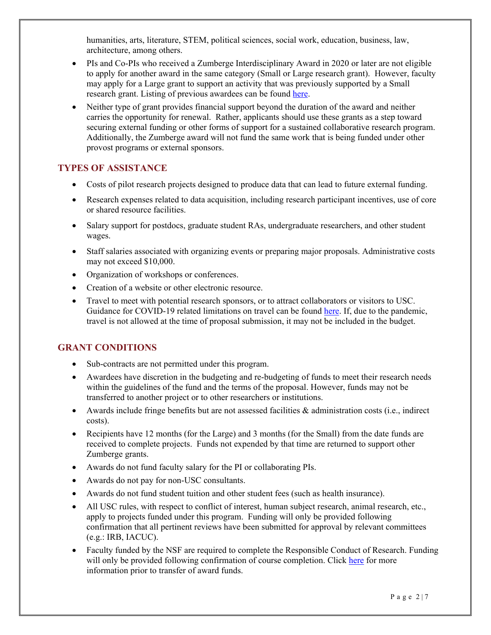humanities, arts, literature, STEM, political sciences, social work, education, business, law, architecture, among others.

- PIs and Co-PIs who received a Zumberge Interdisciplinary Award in 2020 or later are not eligible to apply for another award in the same category (Small or Large research grant). However, faculty may apply for a Large grant to support an activity that was previously supported by a Small research grant. Listing of previous awardees can be found [here.](https://orif.usc.edu/funding/zumberge-interdisciplinary-research-award/)
- Neither type of grant provides financial support beyond the duration of the award and neither carries the opportunity for renewal. Rather, applicants should use these grants as a step toward securing external funding or other forms of support for a sustained collaborative research program. Additionally, the Zumberge award will not fund the same work that is being funded under other provost programs or external sponsors.

# **TYPES OF ASSISTANCE**

- Costs of pilot research projects designed to produce data that can lead to future external funding.
- Research expenses related to data acquisition, including research participant incentives, use of core or shared resource facilities.
- Salary support for postdocs, graduate student RAs, undergraduate researchers, and other student wages.
- Staff salaries associated with organizing events or preparing major proposals. Administrative costs may not exceed \$10,000.
- Organization of workshops or conferences.
- Creation of a website or other electronic resource.
- Travel to meet with potential research sponsors, or to attract collaborators or visitors to USC. Guidance for COVID-19 related limitations on travel can be found [here.](https://research.usc.edu/coronavirus/) If, due to the pandemic, travel is not allowed at the time of proposal submission, it may not be included in the budget.

# **GRANT CONDITIONS**

- Sub-contracts are not permitted under this program.
- Awardees have discretion in the budgeting and re-budgeting of funds to meet their research needs within the guidelines of the fund and the terms of the proposal. However, funds may not be transferred to another project or to other researchers or institutions.
- Awards include fringe benefits but are not assessed facilities & administration costs (i.e., indirect costs).
- Recipients have 12 months (for the Large) and 3 months (for the Small) from the date funds are received to complete projects. Funds not expended by that time are returned to support other Zumberge grants.
- Awards do not fund faculty salary for the PI or collaborating PIs.
- Awards do not pay for non-USC consultants.
- Awards do not fund student tuition and other student fees (such as health insurance).
- All USC rules, with respect to conflict of interest, human subject research, animal research, etc., apply to projects funded under this program. Funding will only be provided following confirmation that all pertinent reviews have been submitted for approval by relevant committees (e.g.: IRB, IACUC).
- Faculty funded by the NSF are required to complete the Responsible Conduct of Research. Funding will only be provided following confirmation of course completion. Click [here](https://researchtrainingfinder.usc.edu/) for more information prior to transfer of award funds.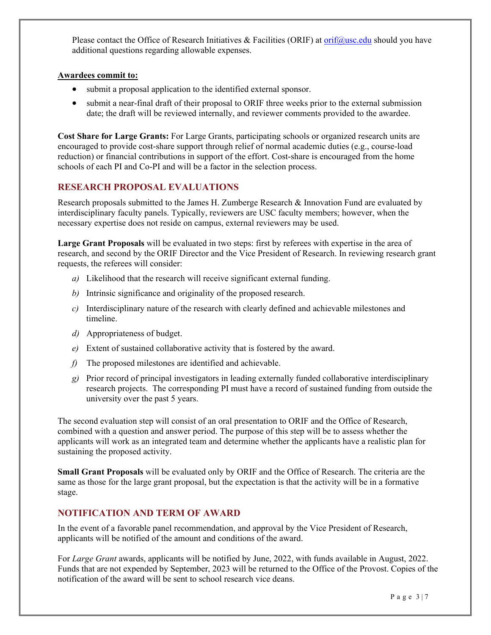Please contact the Office of Research Initiatives & Facilities (ORIF) at [orif@usc.edu](mailto:orif@usc.edu) should you have additional questions regarding allowable expenses.

#### **Awardees commit to:**

- submit a proposal application to the identified external sponsor.
- submit a near-final draft of their proposal to ORIF three weeks prior to the external submission date; the draft will be reviewed internally, and reviewer comments provided to the awardee.

**Cost Share for Large Grants:** For Large Grants, participating schools or organized research units are encouraged to provide cost-share support through relief of normal academic duties (e.g., course-load reduction) or financial contributions in support of the effort. Cost-share is encouraged from the home schools of each PI and Co-PI and will be a factor in the selection process.

# **RESEARCH PROPOSAL EVALUATIONS**

Research proposals submitted to the James H. Zumberge Research & Innovation Fund are evaluated by interdisciplinary faculty panels. Typically, reviewers are USC faculty members; however, when the necessary expertise does not reside on campus, external reviewers may be used.

**Large Grant Proposals** will be evaluated in two steps: first by referees with expertise in the area of research, and second by the ORIF Director and the Vice President of Research. In reviewing research grant requests, the referees will consider:

- *a)* Likelihood that the research will receive significant external funding.
- *b)* Intrinsic significance and originality of the proposed research.
- *c)* Interdisciplinary nature of the research with clearly defined and achievable milestones and timeline.
- *d)* Appropriateness of budget.
- *e)* Extent of sustained collaborative activity that is fostered by the award.
- *f)* The proposed milestones are identified and achievable.
- *g)* Prior record of principal investigators in leading externally funded collaborative interdisciplinary research projects. The corresponding PI must have a record of sustained funding from outside the university over the past 5 years.

The second evaluation step will consist of an oral presentation to ORIF and the Office of Research, combined with a question and answer period. The purpose of this step will be to assess whether the applicants will work as an integrated team and determine whether the applicants have a realistic plan for sustaining the proposed activity.

**Small Grant Proposals** will be evaluated only by ORIF and the Office of Research. The criteria are the same as those for the large grant proposal, but the expectation is that the activity will be in a formative stage.

## **NOTIFICATION AND TERM OF AWARD**

In the event of a favorable panel recommendation, and approval by the Vice President of Research, applicants will be notified of the amount and conditions of the award.

For *Large Grant* awards, applicants will be notified by June, 2022, with funds available in August, 2022. Funds that are not expended by September, 2023 will be returned to the Office of the Provost. Copies of the notification of the award will be sent to school research vice deans.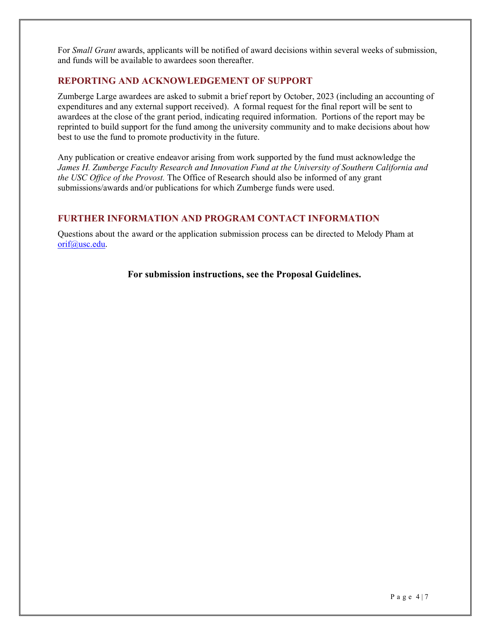For *Small Grant* awards, applicants will be notified of award decisions within several weeks of submission, and funds will be available to awardees soon thereafter.

### **REPORTING AND ACKNOWLEDGEMENT OF SUPPORT**

Zumberge Large awardees are asked to submit a brief report by October, 2023 (including an accounting of expenditures and any external support received). A formal request for the final report will be sent to awardees at the close of the grant period, indicating required information. Portions of the report may be reprinted to build support for the fund among the university community and to make decisions about how best to use the fund to promote productivity in the future.

Any publication or creative endeavor arising from work supported by the fund must acknowledge the *James H. Zumberge Faculty Research and Innovation Fund at the University of Southern California and the USC Office of the Provost.* The Office of Research should also be informed of any grant submissions/awards and/or publications for which Zumberge funds were used.

### **FURTHER INFORMATION AND PROGRAM CONTACT INFORMATION**

Questions about the award or the application submission process can be directed to Melody Pham at [orif@usc.edu.](mailto:orif@usc.edu)

**For submission instructions, see the Proposal Guidelines.**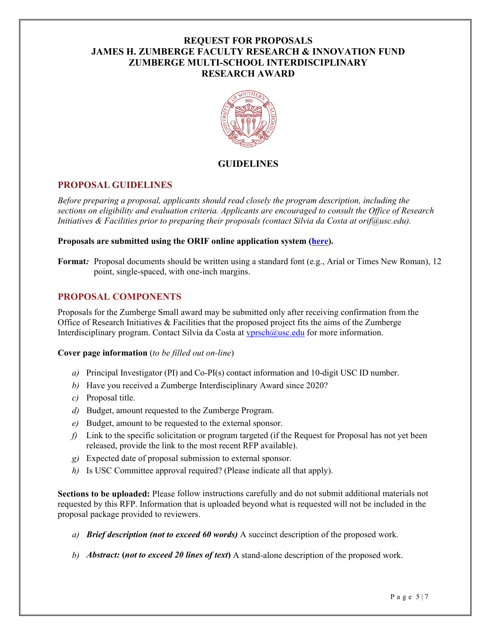# **REQUEST FOR PROPOSALS JAMES H. ZUMBERGE FACULTY RESEARCH & INNOVATION FUND ZUMBERGE MULTI-SCHOOL INTERDISCIPLINARY RESEARCH AWARD**



# **GUIDELINES**

## **PROPOSAL GUIDELINES**

*Before preparing a proposal, applicants should read closely the program description, including the sections on eligibility and evaluation criteria. Applicants are encouraged to consult the Office of Research Initiatives & Facilities prior to preparing their proposals (contact Silvia da Costa at orif@usc.edu).*

#### **Proposals are submitted using the ORIF online application system [\(here\)](https://orif.usc.edu/oor-portal/).**

**Format***:* Proposal documents should be written using a standard font (e.g., Arial or Times New Roman), 12 point, single-spaced, with one-inch margins.

## **PROPOSAL COMPONENTS**

Proposals for the Zumberge Small award may be submitted only after receiving confirmation from the Office of Research Initiatives  $&$  Facilities that the proposed project fits the aims of the Zumberge Interdisciplinary program. Contact Silvia da Costa at [vprsch@usc.edu](mailto:vprsch@usc.edu) for more information.

#### **Cover page information** (*to be filled out on-line*)

- *a)* Principal Investigator (PI) and Co-PI(s) contact information and 10-digit USC ID number.
- *b)* Have you received a Zumberge Interdisciplinary Award since 2020?
- *c)* Proposal title.
- *d)* Budget, amount requested to the Zumberge Program.
- *e)* Budget, amount to be requested to the external sponsor.
- *f)* Link to the specific solicitation or program targeted (if the Request for Proposal has not yet been released, provide the link to the most recent RFP available).
- *g)* Expected date of proposal submission to external sponsor.
- *h)* Is USC Committee approval required? (Please indicate all that apply).

**Sections to be uploaded:** Please follow instructions carefully and do not submit additional materials not requested by this RFP. Information that is uploaded beyond what is requested will not be included in the proposal package provided to reviewers.

- *a) Brief description (not to exceed 60 words)* A succinct description of the proposed work.
- *b) Abstract:* **(***not to exceed 20 lines of text***)** A stand-alone description of the proposed work.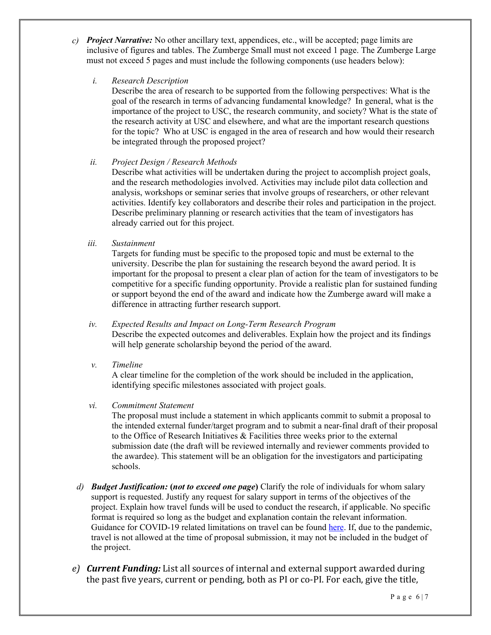- *c) Project Narrative:* No other ancillary text, appendices, etc., will be accepted; page limits are inclusive of figures and tables. The Zumberge Small must not exceed 1 page. The Zumberge Large must not exceed 5 pages and must include the following components (use headers below):
	- *i. Research Description*

Describe the area of research to be supported from the following perspectives: What is the goal of the research in terms of advancing fundamental knowledge? In general, what is the importance of the project to USC, the research community, and society? What is the state of the research activity at USC and elsewhere, and what are the important research questions for the topic? Who at USC is engaged in the area of research and how would their research be integrated through the proposed project?

*ii. Project Design / Research Methods*

Describe what activities will be undertaken during the project to accomplish project goals, and the research methodologies involved. Activities may include pilot data collection and analysis, workshops or seminar series that involve groups of researchers, or other relevant activities. Identify key collaborators and describe their roles and participation in the project. Describe preliminary planning or research activities that the team of investigators has already carried out for this project.

*iii. Sustainment*

Targets for funding must be specific to the proposed topic and must be external to the university. Describe the plan for sustaining the research beyond the award period. It is important for the proposal to present a clear plan of action for the team of investigators to be competitive for a specific funding opportunity. Provide a realistic plan for sustained funding or support beyond the end of the award and indicate how the Zumberge award will make a difference in attracting further research support.

## *iv. Expected Results and Impact on Long-Term Research Program*

Describe the expected outcomes and deliverables. Explain how the project and its findings will help generate scholarship beyond the period of the award.

*v. Timeline*

A clear timeline for the completion of the work should be included in the application, identifying specific milestones associated with project goals.

*vi. Commitment Statement*

The proposal must include a statement in which applicants commit to submit a proposal to the intended external funder/target program and to submit a near-final draft of their proposal to the Office of Research Initiatives & Facilities three weeks prior to the external submission date (the draft will be reviewed internally and reviewer comments provided to the awardee). This statement will be an obligation for the investigators and participating schools.

- *d) Budget Justification:* **(***not to exceed one page***)** Clarify the role of individuals for whom salary support is requested. Justify any request for salary support in terms of the objectives of the project. Explain how travel funds will be used to conduct the research, if applicable. No specific format is required so long as the budget and explanation contain the relevant information. Guidance for COVID-19 related limitations on travel can be found [here.](https://research.usc.edu/coronavirus/) If, due to the pandemic, travel is not allowed at the time of proposal submission, it may not be included in the budget of the project.
- *e) Current Funding:* List all sources of internal and external support awarded during the past five years, current or pending, both as PI or co-PI. For each, give the title,